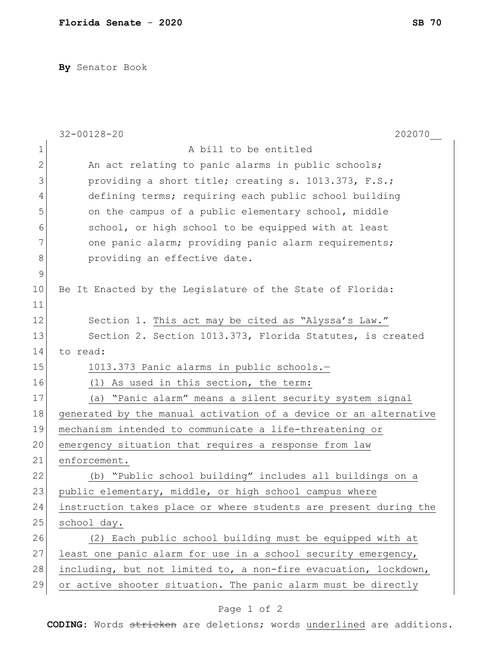**By** Senator Book

|              | 202070<br>$32 - 00128 - 20$                                      |
|--------------|------------------------------------------------------------------|
| 1            | A bill to be entitled                                            |
| $\mathbf{2}$ | An act relating to panic alarms in public schools;               |
| 3            | providing a short title; creating s. 1013.373, F.S.;             |
| 4            | defining terms; requiring each public school building            |
| 5            | on the campus of a public elementary school, middle              |
| 6            | school, or high school to be equipped with at least              |
| 7            | one panic alarm; providing panic alarm requirements;             |
| 8            | providing an effective date.                                     |
| $\mathsf 9$  |                                                                  |
| 10           | Be It Enacted by the Legislature of the State of Florida:        |
| 11           |                                                                  |
| 12           | Section 1. This act may be cited as "Alyssa's Law."              |
| 13           | Section 2. Section 1013.373, Florida Statutes, is created        |
| 14           | to read:                                                         |
| 15           | 1013.373 Panic alarms in public schools.-                        |
| 16           | (1) As used in this section, the term:                           |
| 17           | "Panic alarm" means a silent security system signal<br>(a)       |
| 18           | generated by the manual activation of a device or an alternative |
| 19           | mechanism intended to communicate a life-threatening or          |
| 20           | emergency situation that requires a response from law            |
| 21           | enforcement.                                                     |
| 22           | "Public school building" includes all buildings on a<br>(b)      |
| 23           | public elementary, middle, or high school campus where           |
| 24           | instruction takes place or where students are present during the |
| 25           | school day.                                                      |
| 26           | (2) Each public school building must be equipped with at         |
| 27           | least one panic alarm for use in a school security emergency,    |
| 28           | including, but not limited to, a non-fire evacuation, lockdown,  |
| 29           | or active shooter situation. The panic alarm must be directly    |
|              |                                                                  |

## Page 1 of 2

**CODING**: Words stricken are deletions; words underlined are additions.